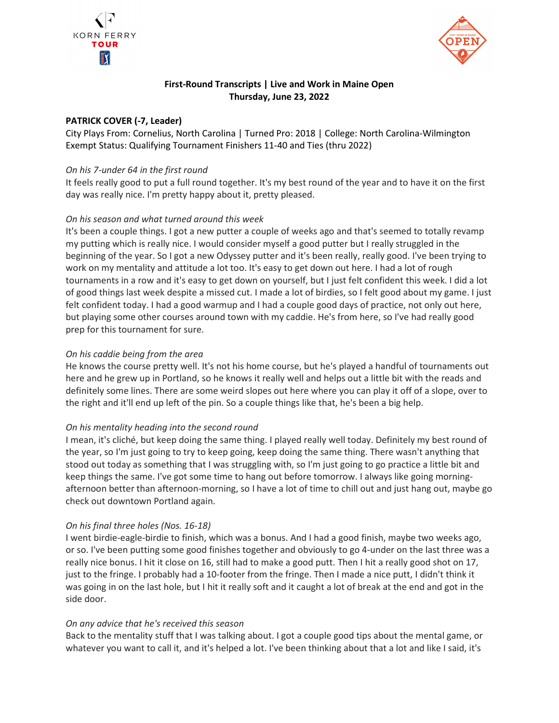



# First-Round Transcripts | Live and Work in Maine Open Thursday, June 23, 2022

### PATRICK COVER (-7, Leader)

City Plays From: Cornelius, North Carolina | Turned Pro: 2018 | College: North Carolina-Wilmington Exempt Status: Qualifying Tournament Finishers 11-40 and Ties (thru 2022)

### On his 7-under 64 in the first round

It feels really good to put a full round together. It's my best round of the year and to have it on the first day was really nice. I'm pretty happy about it, pretty pleased.

## On his season and what turned around this week

It's been a couple things. I got a new putter a couple of weeks ago and that's seemed to totally revamp my putting which is really nice. I would consider myself a good putter but I really struggled in the beginning of the year. So I got a new Odyssey putter and it's been really, really good. I've been trying to work on my mentality and attitude a lot too. It's easy to get down out here. I had a lot of rough tournaments in a row and it's easy to get down on yourself, but I just felt confident this week. I did a lot of good things last week despite a missed cut. I made a lot of birdies, so I felt good about my game. I just felt confident today. I had a good warmup and I had a couple good days of practice, not only out here, but playing some other courses around town with my caddie. He's from here, so I've had really good prep for this tournament for sure.

### On his caddie being from the area

He knows the course pretty well. It's not his home course, but he's played a handful of tournaments out here and he grew up in Portland, so he knows it really well and helps out a little bit with the reads and definitely some lines. There are some weird slopes out here where you can play it off of a slope, over to the right and it'll end up left of the pin. So a couple things like that, he's been a big help.

### On his mentality heading into the second round

I mean, it's cliché, but keep doing the same thing. I played really well today. Definitely my best round of the year, so I'm just going to try to keep going, keep doing the same thing. There wasn't anything that stood out today as something that I was struggling with, so I'm just going to go practice a little bit and keep things the same. I've got some time to hang out before tomorrow. I always like going morningafternoon better than afternoon-morning, so I have a lot of time to chill out and just hang out, maybe go check out downtown Portland again.

### On his final three holes (Nos. 16-18)

I went birdie-eagle-birdie to finish, which was a bonus. And I had a good finish, maybe two weeks ago, or so. I've been putting some good finishes together and obviously to go 4-under on the last three was a really nice bonus. I hit it close on 16, still had to make a good putt. Then I hit a really good shot on 17, just to the fringe. I probably had a 10-footer from the fringe. Then I made a nice putt, I didn't think it was going in on the last hole, but I hit it really soft and it caught a lot of break at the end and got in the side door.

### On any advice that he's received this season

Back to the mentality stuff that I was talking about. I got a couple good tips about the mental game, or whatever you want to call it, and it's helped a lot. I've been thinking about that a lot and like I said, it's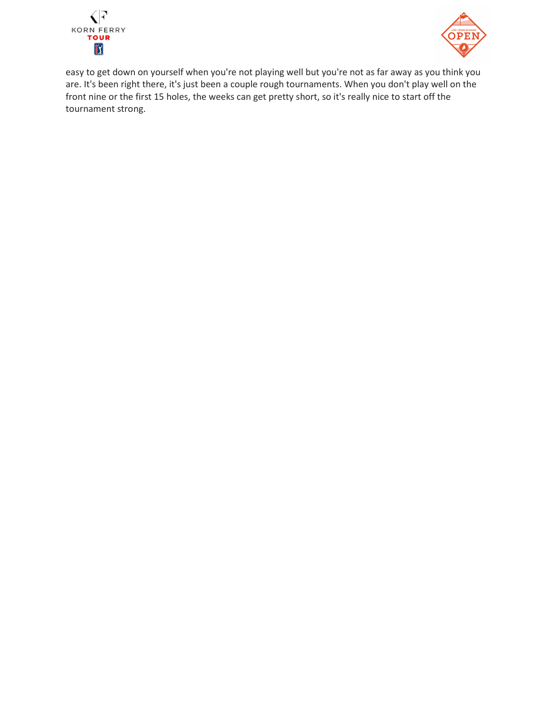



easy to get down on yourself when you're not playing well but you're not as far away as you think you are. It's been right there, it's just been a couple rough tournaments. When you don't play well on the front nine or the first 15 holes, the weeks can get pretty short, so it's really nice to start off the tournament strong.